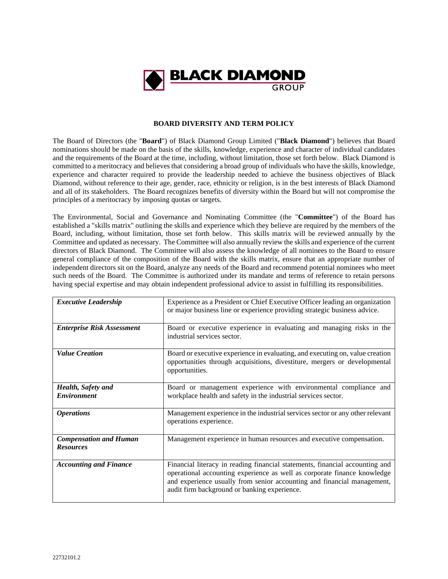

## **BOARD DIVERSITY AND TERM POLICY**

The Board of Directors (the "**Board**") of Black Diamond Group Limited ("**Black Diamond**") believes that Board nominations should be made on the basis of the skills, knowledge, experience and character of individual candidates and the requirements of the Board at the time, including, without limitation, those set forth below. Black Diamond is committed to a meritocracy and believes that considering a broad group of individuals who have the skills, knowledge, experience and character required to provide the leadership needed to achieve the business objectives of Black Diamond, without reference to their age, gender, race, ethnicity or religion, is in the best interests of Black Diamond and all of its stakeholders. The Board recognizes benefits of diversity within the Board but will not compromise the principles of a meritocracy by imposing quotas or targets.

The Environmental, Social and Governance and Nominating Committee (the "**Committee**") of the Board has established a "skills matrix" outlining the skills and experience which they believe are required by the members of the Board, including, without limitation, those set forth below. This skills matrix will be reviewed annually by the Committee and updated as necessary. The Committee will also annually review the skills and experience of the current directors of Black Diamond. The Committee will also assess the knowledge of all nominees to the Board to ensure general compliance of the composition of the Board with the skills matrix, ensure that an appropriate number of independent directors sit on the Board, analyze any needs of the Board and recommend potential nominees who meet such needs of the Board. The Committee is authorized under its mandate and terms of reference to retain persons having special expertise and may obtain independent professional advice to assist in fulfilling its responsibilities.

| <b>Executive Leadership</b>                       | Experience as a President or Chief Executive Officer leading an organization<br>or major business line or experience providing strategic business advice.                                                                                                                           |
|---------------------------------------------------|-------------------------------------------------------------------------------------------------------------------------------------------------------------------------------------------------------------------------------------------------------------------------------------|
| <b>Enterprise Risk Assessment</b>                 | Board or executive experience in evaluating and managing risks in the<br>industrial services sector.                                                                                                                                                                                |
| <b>Value Creation</b>                             | Board or executive experience in evaluating, and executing on, value creation<br>opportunities through acquisitions, divestiture, mergers or developmental<br>opportunities.                                                                                                        |
| Health, Safety and<br><b>Environment</b>          | Board or management experience with environmental compliance and<br>workplace health and safety in the industrial services sector.                                                                                                                                                  |
| <i><b>Operations</b></i>                          | Management experience in the industrial services sector or any other relevant<br>operations experience.                                                                                                                                                                             |
| <b>Compensation and Human</b><br><b>Resources</b> | Management experience in human resources and executive compensation.                                                                                                                                                                                                                |
| <b>Accounting and Finance</b>                     | Financial literacy in reading financial statements, financial accounting and<br>operational accounting experience as well as corporate finance knowledge<br>and experience usually from senior accounting and financial management,<br>audit firm background or banking experience. |